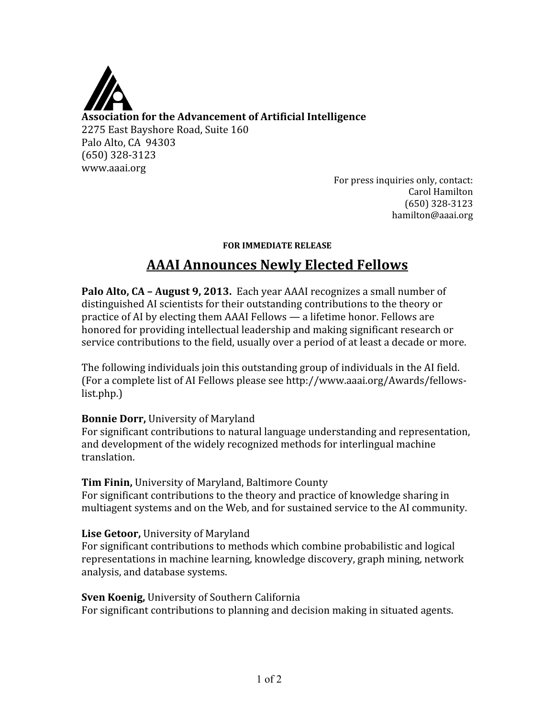

For press inquiries only, contact: Carol Hamilton (650) 328‐3123 hamilton@aaai.org

#### **FOR IMMEDIATE RELEASE**

# **AAAI Announces Newly Elected Fellows**

**Palo Alto, CA – August 9, 2013.** Each year AAAI recognizes a small number of distinguished AI scientists for their outstanding contributions to the theory or practice of AI by electing them AAAI Fellows — a lifetime honor. Fellows are honored for providing intellectual leadership and making significant research or service contributions to the field, usually over a period of at least a decade or more.

The following individuals join this outstanding group of individuals in the AI field. (For a complete list of AI Fellows please see http://www.aaai.org/Awards/fellows‐ list.php.)

#### **Bonnie Dorr,** University of Maryland

For significant contributions to natural language understanding and representation, and development of the widely recognized methods for interlingual machine translation.

**Tim Finin,** University of Maryland, Baltimore County

For significant contributions to the theory and practice of knowledge sharing in multiagent systems and on the Web, and for sustained service to the AI community.

## **Lise Getoor,** University of Maryland

For significant contributions to methods which combine probabilistic and logical representations in machine learning, knowledge discovery, graph mining, network analysis, and database systems.

#### **Sven Koenig,** University of Southern California

For significant contributions to planning and decision making in situated agents.